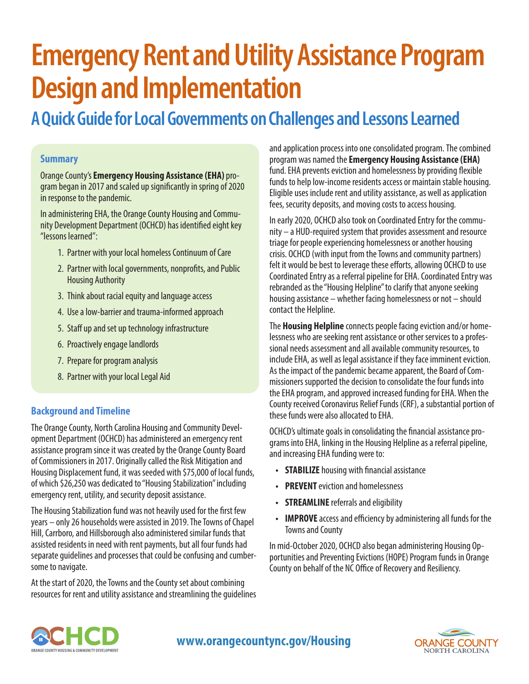# **Emergency Rent and Utility Assistance Program Design and Implementation**

# **A Quick Guide for Local Governments on Challenges and Lessons Learned**

#### **Summary**

Orange County's **Emergency Housing Assistance (EHA)** program began in 2017 and scaled up significantly in spring of 2020 in response to the pandemic.

In administering EHA, the Orange County Housing and Community Development Department (OCHCD) has identified eight key "lessons learned":

- 1. Partner with your local homeless Continuum of Care
- 2. Partner with local governments, nonprofits, and Public Housing Authority
- 3. Think about racial equity and language access
- 4. Use a low-barrier and trauma-informed approach
- 5. Staff up and set up technology infrastructure
- 6. Proactively engage landlords
- 7. Prepare for program analysis
- 8. Partner with your local Legal Aid

#### **Background and Timeline**

The Orange County, North Carolina Housing and Community Development Department (OCHCD) has administered an emergency rent assistance program since it was created by the Orange County Board of Commissioners in 2017. Originally called the Risk Mitigation and Housing Displacement fund, it was seeded with \$75,000 of local funds, of which \$26,250 was dedicated to "Housing Stabilization" including emergency rent, utility, and security deposit assistance.

The Housing Stabilization fund was not heavily used for the first few years – only 26 households were assisted in 2019. The Towns of Chapel Hill, Carrboro, and Hillsborough also administered similar funds that assisted residents in need with rent payments, but all four funds had separate guidelines and processes that could be confusing and cumbersome to navigate.

At the start of 2020, the Towns and the County set about combining resources for rent and utility assistance and streamlining the guidelines and application process into one consolidated program.The combined program was named the **Emergency Housing Assistance (EHA)**  fund. EHA prevents eviction and homelessness by providing flexible funds to help low-income residents access or maintain stable housing. Eligible uses include rent and utility assistance, as well as application fees, security deposits, and moving costs to access housing.

In early 2020, OCHCD also took on Coordinated Entry for the community – a HUD-required system that provides assessment and resource triage for people experiencing homelessness or another housing crisis. OCHCD (with input from the Towns and community partners) felt it would be best to leverage these efforts, allowing OCHCD to use Coordinated Entry as a referral pipeline for EHA. Coordinated Entry was rebranded as the "Housing Helpline" to clarify that anyone seeking housing assistance – whether facing homelessness or not – should contact the Helpline.

The **Housing Helpline** connects people facing eviction and/or homelessness who are seeking rent assistance or other services to a professional needs assessment and all available community resources, to include EHA, as well as legal assistance if they face imminent eviction. As the impact of the pandemic became apparent, the Board of Commissioners supported the decision to consolidate the four funds into the EHA program, and approved increased funding for EHA. When the County received Coronavirus Relief Funds (CRF), a substantial portion of these funds were also allocated to EHA.

OCHCD's ultimate goals in consolidating the financial assistance programs into EHA, linking in the Housing Helpline as a referral pipeline, and increasing EHA funding were to:

- **• STABILIZE** housing with financial assistance
- **• PREVENT** eviction and homelessness
- **• STREAMLINE** referrals and eligibility
- **• IMPROVE** access and efficiency by administering all funds for the Towns and County

In mid-October 2020, OCHCD also began administering Housing Opportunities and Preventing Evictions (HOPE) Program funds in Orange County on behalf of the NC Office of Recovery and Resiliency.



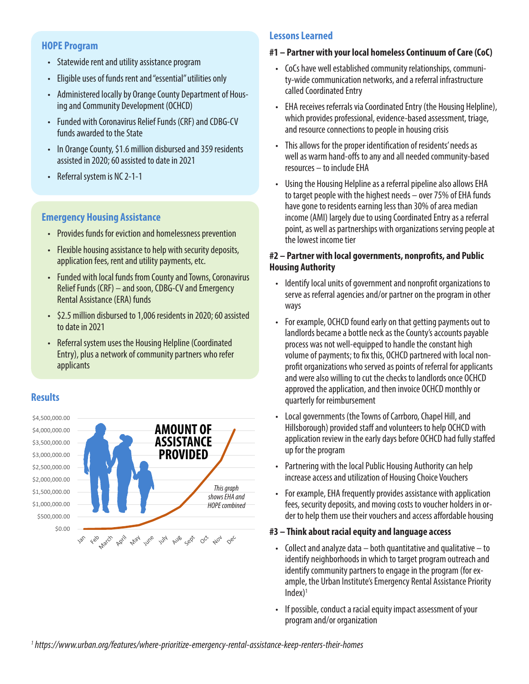#### **HOPE Program**

- Statewide rent and utility assistance program
- Eligible uses of funds rent and "essential" utilities only
- Administered locally by Orange County Department of Housing and Community Development (OCHCD)
- Funded with Coronavirus Relief Funds (CRF) and CDBG-CV funds awarded to the State
- In Orange County, \$1.6 million disbursed and 359 residents assisted in 2020; 60 assisted to date in 2021
- Referral system is NC 2-1-1

### **Emergency Housing Assistance**

- Provides funds for eviction and homelessness prevention
- Flexible housing assistance to help with security deposits, application fees, rent and utility payments, etc.
- Funded with local funds from County and Towns, Coronavirus Relief Funds (CRF) – and soon, CDBG-CV and Emergency Rental Assistance (ERA) funds
- \$2.5 million disbursed to 1,006 residents in 2020; 60 assisted to date in 2021
- Referral system uses the Housing Helpline (Coordinated Entry), plus a network of community partners who refer applicants

# **Results**



# **Lessons Learned**

#### **#1 – Partner with your local homeless Continuum of Care (CoC)**

- CoCs have well established community relationships, community-wide communication networks, and a referral infrastructure called Coordinated Entry
- EHA receives referrals via Coordinated Entry (the Housing Helpline), which provides professional, evidence-based assessment, triage, and resource connections to people in housing crisis
- This allows for the proper identification of residents' needs as well as warm hand-offs to any and all needed community-based resources – to include EHA
- Using the Housing Helpline as a referral pipeline also allows EHA to target people with the highest needs – over 75% of EHA funds have gone to residents earning less than 30% of area median income (AMI) largely due to using Coordinated Entry as a referral point, as well as partnerships with organizations serving people at the lowest income tier

#### **#2 – Partner with local governments, nonprofits, and Public Housing Authority**

- Identify local units of government and nonprofit organizations to serve as referral agencies and/or partner on the program in other ways
- For example, OCHCD found early on that getting payments out to landlords became a bottle neck as the County's accounts payable process was not well-equipped to handle the constant high volume of payments; to fix this, OCHCD partnered with local nonprofit organizations who served as points of referral for applicants and were also willing to cut the checks to landlords once OCHCD approved the application, and then invoice OCHCD monthly or quarterly for reimbursement
- Local governments (the Towns of Carrboro, Chapel Hill, and Hillsborough) provided staff and volunteers to help OCHCD with application review in the early days before OCHCD had fully staffed up for the program
- Partnering with the local Public Housing Authority can help increase access and utilization of Housing Choice Vouchers
- For example, EHA frequently provides assistance with application fees, security deposits, and moving costs to voucher holders in order to help them use their vouchers and access affordable housing

#### **#3 – Think about racial equity and language access**

- Collect and analyze data  $-$  both quantitative and qualitative  $-$  to identify neighborhoods in which to target program outreach and identify community partners to engage in the program (for example, the Urban Institute's Emergency Rental Assistance Priority  $Index$ <sup>1</sup>
- If possible, conduct a racial equity impact assessment of your program and/or organization